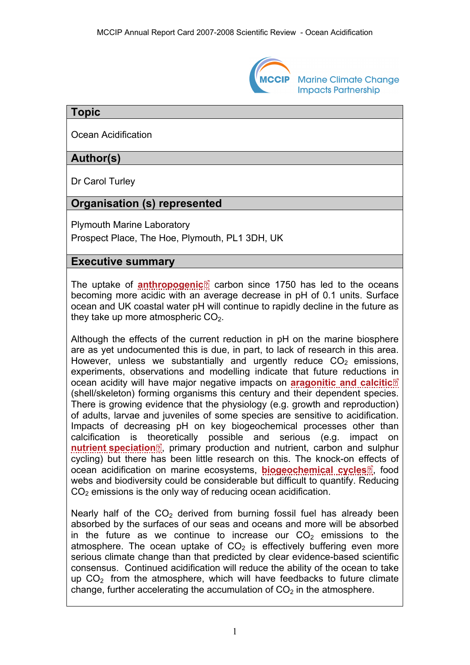

**Marine Climate Change Impacts Partnership** 

### **Topic**

Ocean Acidification

## **Author(s)**

Dr Carol Turley

### **Organisation (s) represented**

Plymouth Marine Laboratory Prospect Place, The Hoe, Plymouth, PL1 3DH, UK

#### **Executive summary**

The uptake of **[anthropogenic](http://www.mccip.org.uk/arc/2007/glossary.htm#Anthropogenic)**<sup>o</sup> carbon since 1750 has led to the oceans becoming more acidic with an average decrease in pH of 0.1 units. Surface ocean and UK coastal water pH will continue to rapidly decline in the future as they take up more atmospheric  $CO<sub>2</sub>$ .

Although the effects of the current reduction in pH on the marine biosphere are as yet undocumented this is due, in part, to lack of research in this area. However, unless we substantially and urgently reduce  $CO<sub>2</sub>$  emissions, experiments, observations and modelling indicate that future reductions [in](http://www.mccip.org.uk/arc/2007/glossary.htm)  ocean acidity will have major negative impacts on **[aragonitic and calcitic](http://www.mccip.org.uk/arc/2007/glossary.htm#Aragonitic_and_calcitic_organisms)** [\(shell/skeleton\) forming organisms this century and their dependent species.](http://www.mccip.org.uk/arc/2007/glossary.htm#Aragonitic_and_calcitic_organisms)  [There is growing evidence that the physiology \(e.g. growth and reproduction\)](http://www.mccip.org.uk/arc/2007/glossary.htm#Aragonitic_and_calcitic_organisms)  [of adults, larvae and juveniles of some species are sensitive to acidification.](http://www.mccip.org.uk/arc/2007/glossary.htm#Aragonitic_and_calcitic_organisms)  [Impacts of decreasing pH on key biogeochemical processes other than](http://www.mccip.org.uk/arc/2007/glossary.htm#Aragonitic_and_calcitic_organisms)  [calcification is theoretically possible and serious \(e.g. impact on](http://www.mccip.org.uk/arc/2007/glossary.htm#Aragonitic_and_calcitic_organisms)  **nutrient speciation**<sup>,</sup> primary production and nutrient, carbon and sulphur [cycling\) but there has been little research on this. The knock-on effects of](http://www.mccip.org.uk/arc/2007/glossary.htm#Nutrient_speciation)  [ocean acidification on marine ecosystems,](http://www.mccip.org.uk/arc/2007/glossary.htm#Nutrient_speciation) **biogeochemical cycles**<sup>[2]</sup>, food webs and biodiversity could be considerable but difficult to quantify. Reducing  $CO<sub>2</sub>$  emissions is the only way of reducing ocean acidification.

Nearly half of the  $CO<sub>2</sub>$  derived from burning fossil fuel has already been absorbed by the surfaces of our seas and oceans and more will be absorbed in the future as we continue to increase our  $CO<sub>2</sub>$  emissions to the atmosphere. The ocean uptake of  $CO<sub>2</sub>$  is effectively buffering even more serious climate change than that predicted by clear evidence-based scientific consensus. Continued acidification will reduce the ability of the ocean to take up  $CO<sub>2</sub>$  from the atmosphere, which will have feedbacks to future climate change, further accelerating the accumulation of  $CO<sub>2</sub>$  in the atmosphere.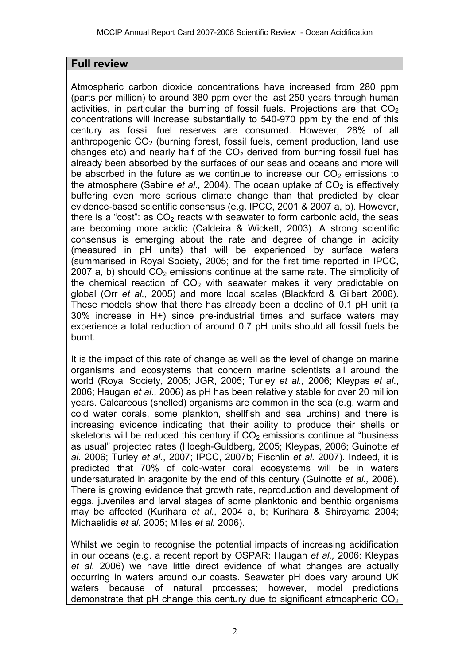# **Full review**

Atmospheric carbon dioxide concentrations have increased from 280 ppm (parts per million) to around 380 ppm over the last 250 years through human activities, in particular the burning of fossil fuels. Projections are that  $CO<sub>2</sub>$ concentrations will increase substantially to 540-970 ppm by the end of this century as fossil fuel reserves are consumed. However, 28% of all anthropogenic  $CO<sub>2</sub>$  (burning forest, fossil fuels, cement production, land use changes etc) and nearly half of the  $CO<sub>2</sub>$  derived from burning fossil fuel has already been absorbed by the surfaces of our seas and oceans and more will be absorbed in the future as we continue to increase our  $CO<sub>2</sub>$  emissions to the atmosphere (Sabine *et al.,* 2004). The ocean uptake of  $CO<sub>2</sub>$  is effectively buffering even more serious climate change than that predicted by clear evidence-based scientific consensus (e.g. IPCC, 2001 & 2007 a, b). However, there is a "cost": as  $CO<sub>2</sub>$  reacts with seawater to form carbonic acid, the seas are becoming more acidic (Caldeira & Wickett, 2003). A strong scientific consensus is emerging about the rate and degree of change in acidity (measured in pH units) that will be experienced by surface waters (summarised in Royal Society, 2005; and for the first time reported in IPCC, 2007 a, b) should  $CO<sub>2</sub>$  emissions continue at the same rate. The simplicity of the chemical reaction of  $CO<sub>2</sub>$  with seawater makes it very predictable on global (Orr *et al.,* 2005) and more local scales (Blackford & Gilbert 2006). These models show that there has already been a decline of 0.1 pH unit (a 30% increase in H+) since pre-industrial times and surface waters may experience a total reduction of around 0.7 pH units should all fossil fuels be burnt.

It is the impact of this rate of change as well as the level of change on marine organisms and ecosystems that concern marine scientists all around the world (Royal Society, 2005; JGR, 2005; Turley *et al.,* 2006; Kleypas *et al*., 2006; Haugan *et al.,* 2006) as pH has been relatively stable for over 20 million years. Calcareous (shelled) organisms are common in the sea (e.g. warm and cold water corals, some plankton, shellfish and sea urchins) and there is increasing evidence indicating that their ability to produce their shells or skeletons will be reduced this century if  $CO<sub>2</sub>$  emissions continue at "business" as usual" projected rates (Hoegh-Guldberg, 2005; Kleypas, 2006; Guinotte *et al.* 2006; Turley *et al.*, 2007; IPCC, 2007b; Fischlin *et al.* 2007). Indeed, it is predicted that 70% of cold-water coral ecosystems will be in waters undersaturated in aragonite by the end of this century (Guinotte *et al.,* 2006). There is growing evidence that growth rate, reproduction and development of eggs, juveniles and larval stages of some planktonic and benthic organisms may be affected (Kurihara *et al.,* 2004 a, b; Kurihara & Shirayama 2004; Michaelidis *et al.* 2005; Miles *et al.* 2006).

Whilst we begin to recognise the potential impacts of increasing acidification in our oceans (e.g. a recent report by OSPAR: Haugan *et al.,* 2006: Kleypas *et al.* 2006) we have little direct evidence of what changes are actually occurring in waters around our coasts. Seawater pH does vary around UK waters because of natural processes; however, model predictions demonstrate that pH change this century due to significant atmospheric  $CO<sub>2</sub>$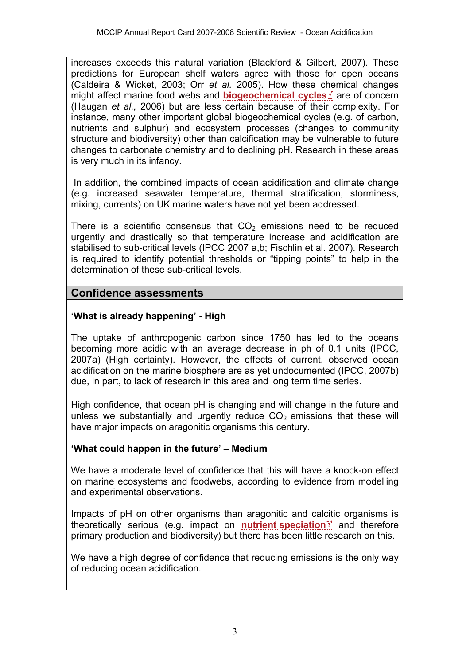increases exceeds this natural variation (Blackford & Gilbert, 2007). These predictions for European shelf waters agree with those for open oceans (Caldeira & Wicket, 2003; Orr *et al.* 2005). How these [che](http://www.mccip.org.uk/arc/2007/glossary.htm)mical changes might affect marine food webs and **[biogeochemical cycles](http://www.mccip.org.uk/arc/2007/glossary.htm#Biogeochemical)** are of concern (Haugan *et al.,* 2006) but are less certain because of their complexity. For instance, many other important global biogeochemical cycles (e.g. of carbon, nutrients and sulphur) and ecosystem processes (changes to community structure and biodiversity) other than calcification may be vulnerable to future changes to carbonate chemistry and to declining pH. Research in these areas is very much in its infancy.

 In addition, the combined impacts of ocean acidification and climate change (e.g. increased seawater temperature, thermal stratification, storminess, mixing, currents) on UK marine waters have not yet been addressed.

There is a scientific consensus that  $CO<sub>2</sub>$  emissions need to be reduced urgently and drastically so that temperature increase and acidification are stabilised to sub-critical levels (IPCC 2007 a,b; Fischlin et al. 2007). Research is required to identify potential thresholds or "tipping points" to help in the determination of these sub-critical levels.

# **Confidence assessments**

# **'What is already happening' - High**

The uptake of anthropogenic carbon since 1750 has led to the oceans becoming more acidic with an average decrease in ph of 0.1 units (IPCC, 2007a) (High certainty). However, the effects of current, observed ocean acidification on the marine biosphere are as yet undocumented (IPCC, 2007b) due, in part, to lack of research in this area and long term time series.

High confidence, that ocean pH is changing and will change in the future and unless we substantially and urgently reduce  $CO<sub>2</sub>$  emissions that these will have major impacts on aragonitic organisms this century.

#### **'What could happen in the future' – Medium**

We have a moderate level of confidence that this will have a knock-on effect on marine ecosystems and foodwebs, according to evidence from modelling and experimental observations.

Impacts of pH on other organisms than aragonitic and ca[lciti](http://www.mccip.org.uk/arc/2007/glossary.htm)c organisms is theoretically serious (e.g. impact on **[nutrient speciation](http://www.mccip.org.uk/arc/2007/glossary.htm#Nutrient_speciation)** and therefore primary production and biodiversity) but there has been little research on this.

We have a high degree of confidence that reducing emissions is the only way of reducing ocean acidification.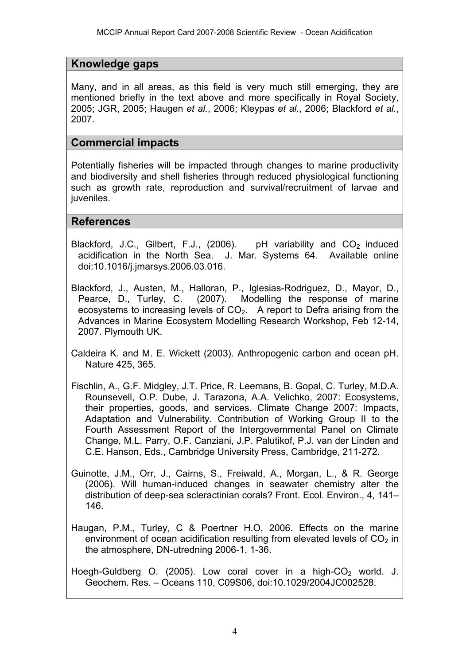### **Knowledge gaps**

Many, and in all areas, as this field is very much still emerging, they are mentioned briefly in the text above and more specifically in Royal Society, 2005; JGR, 2005; Haugen *et al.*, 2006; Kleypas *et al.*, 2006; Blackford *et al.*, 2007.

#### **Commercial impacts**

Potentially fisheries will be impacted through changes to marine productivity and biodiversity and shell fisheries through reduced physiological functioning such as growth rate, reproduction and survival/recruitment of larvae and juveniles.

#### **References**

- Blackford, J.C., Gilbert, F.J., (2006). pH variability and  $CO<sub>2</sub>$  induced acidification in the North Sea. J. Mar. Systems 64. Available online doi:10.1016/j.jmarsys.2006.03.016.
- Blackford, J., Austen, M., Halloran, P., Iglesias-Rodriguez, D., Mayor, D., Pearce, D., Turley, C. (2007). Modelling the response of marine ecosystems to increasing levels of  $CO<sub>2</sub>$ . A report to Defra arising from the Advances in Marine Ecosystem Modelling Research Workshop, Feb 12-14, 2007. Plymouth UK.
- Caldeira K. and M. E. Wickett (2003). Anthropogenic carbon and ocean pH. Nature 425, 365.
- Fischlin, A., G.F. Midgley, J.T. Price, R. Leemans, B. Gopal, C. Turley, M.D.A. Rounsevell, O.P. Dube, J. Tarazona, A.A. Velichko, 2007: Ecosystems, their properties, goods, and services. Climate Change 2007: Impacts, Adaptation and Vulnerability. Contribution of Working Group II to the Fourth Assessment Report of the Intergovernmental Panel on Climate Change, M.L. Parry, O.F. Canziani, J.P. Palutikof, P.J. van der Linden and C.E. Hanson, Eds., Cambridge University Press, Cambridge, 211-272.
- Guinotte, J.M., Orr, J., Cairns, S., Freiwald, A., Morgan, L., & R. George (2006). Will human-induced changes in seawater chemistry alter the distribution of deep-sea scleractinian corals? Front. Ecol. Environ., 4, 141– 146.
- Haugan, P.M., Turley, C & Poertner H.O, 2006. Effects on the marine environment of ocean acidification resulting from elevated levels of  $CO<sub>2</sub>$  in the atmosphere, DN-utredning 2006-1, 1-36.
- Hoegh-Guldberg O. (2005). Low coral cover in a high- $CO<sub>2</sub>$  world. J. Geochem. Res. – Oceans 110, C09S06, doi:10.1029/2004JC002528.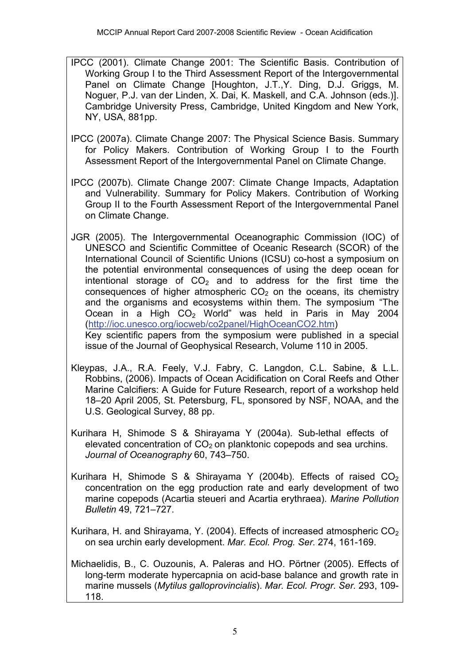- IPCC (2001). Climate Change 2001: The Scientific Basis. Contribution of Working Group I to the Third Assessment Report of the Intergovernmental Panel on Climate Change [Houghton, J.T.,Y. Ding, D.J. Griggs, M. Noguer, P.J. van der Linden, X. Dai, K. Maskell, and C.A. Johnson (eds.)]. Cambridge University Press, Cambridge, United Kingdom and New York, NY, USA, 881pp.
- IPCC (2007a). Climate Change 2007: The Physical Science Basis. Summary for Policy Makers. Contribution of Working Group I to the Fourth Assessment Report of the Intergovernmental Panel on Climate Change.
- IPCC (2007b). Climate Change 2007: Climate Change Impacts, Adaptation and Vulnerability. Summary for Policy Makers. Contribution of Working Group II to the Fourth Assessment Report of the Intergovernmental Panel on Climate Change.
- JGR (2005). The Intergovernmental Oceanographic Commission (IOC) of UNESCO and Scientific Committee of Oceanic Research (SCOR) of the International Council of Scientific Unions (ICSU) co-host a symposium on the potential environmental consequences of using the deep ocean for intentional storage of  $CO<sub>2</sub>$  and to address for the first time the consequences of higher atmospheric  $CO<sub>2</sub>$  on the oceans, its chemistry and the organisms and ecosystems within them. The symposium "The Ocean in a High  $CO<sub>2</sub>$  World" was held in Paris in May 2004 (<http://ioc.unesco.org/iocweb/co2panel/HighOceanCO2.htm>) Key scientific papers from the symposium were published in a special issue of the Journal of Geophysical Research, Volume 110 in 2005.
- Kleypas, J.A., R.A. Feely, V.J. Fabry, C. Langdon, C.L. Sabine, & L.L. Robbins, (2006). Impacts of Ocean Acidification on Coral Reefs and Other Marine Calcifiers: A Guide for Future Research, report of a workshop held 18–20 April 2005, St. Petersburg, FL, sponsored by NSF, NOAA, and the U.S. Geological Survey, 88 pp.
- Kurihara H, Shimode S & Shirayama Y (2004a). Sub-lethal effects of elevated concentration of  $CO<sub>2</sub>$  on planktonic copepods and sea urchins. *Journal of Oceanography* 60, 743–750.
- Kurihara H, Shimode S & Shirayama Y (2004b). Effects of raised  $CO<sub>2</sub>$ concentration on the egg production rate and early development of two marine copepods (Acartia steueri and Acartia erythraea). *Marine Pollution Bulletin* 49, 721–727.
- Kurihara, H. and Shirayama, Y. (2004). Effects of increased atmospheric  $CO<sub>2</sub>$ on sea urchin early development. *Mar. Ecol. Prog. Ser*. 274, 161-169.
- Michaelidis, B., C. Ouzounis, A. Paleras and HO. Pörtner (2005). Effects of long-term moderate hypercapnia on acid-base balance and growth rate in marine mussels (*Mytilus galloprovincialis*). *Mar. Ecol. Progr. Ser.* 293, 109- 118.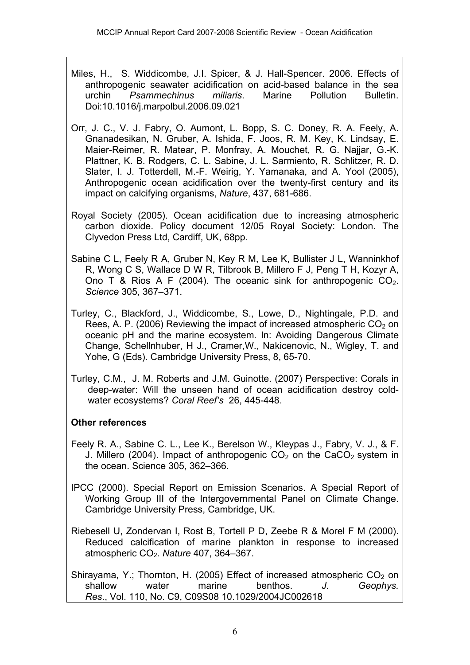- Miles, H., S. Widdicombe, J.I. Spicer, & J. Hall-Spencer. 2006. Effects of anthropogenic seawater acidification on acid-based balance in the sea urchin *Psammechinus miliaris*. Marine Pollution Bulletin. Doi:10.1016/j.marpolbul.2006.09.021
- Orr, J. C., V. J. Fabry, O. Aumont, L. Bopp, S. C. Doney, R. A. Feely, A. Gnanadesikan, N. Gruber, A. Ishida, F. Joos, R. M. Key, K. Lindsay, E. Maier-Reimer, R. Matear, P. Monfray, A. Mouchet, R. G. Najjar, G.-K. Plattner, K. B. Rodgers, C. L. Sabine, J. L. Sarmiento, R. Schlitzer, R. D. Slater, I. J. Totterdell, M.-F. Weirig, Y. Yamanaka, and A. Yool (2005), Anthropogenic ocean acidification over the twenty-first century and its impact on calcifying organisms, *Nature*, 437, 681-686.
- Royal Society (2005). Ocean acidification due to increasing atmospheric carbon dioxide. Policy document 12/05 Royal Society: London. The Clyvedon Press Ltd, Cardiff, UK, 68pp.
- Sabine C L, Feely R A, Gruber N, Key R M, Lee K, Bullister J L, Wanninkhof R, Wong C S, Wallace D W R, Tilbrook B, Millero F J, Peng T H, Kozyr A, Ono T & Rios A F (2004). The oceanic sink for anthropogenic  $CO<sub>2</sub>$ . *Science* 305, 367–371.
- Turley, C., Blackford, J., Widdicombe, S., Lowe, D., Nightingale, P.D. and Rees, A. P. (2006) Reviewing the impact of increased atmospheric  $CO<sub>2</sub>$  on oceanic pH and the marine ecosystem. In: Avoiding Dangerous Climate Change, Schellnhuber, H J., Cramer,W., Nakicenovic, N., Wigley, T. and Yohe, G (Eds). Cambridge University Press, 8, 65-70.
- Turley, C.M., J. M. Roberts and J.M. Guinotte. (2007) Perspective: Corals in deep-water: Will the unseen hand of ocean acidification destroy coldwater ecosystems? *Coral Reef's* 26, 445-448.

# **Other references**

- Feely R. A., Sabine C. L., Lee K., Berelson W., Kleypas J., Fabry, V. J., & F. J. Millero (2004). Impact of anthropogenic  $CO<sub>2</sub>$  on the CaCO<sub>2</sub> system in the ocean. Science 305, 362–366.
- IPCC (2000). Special Report on Emission Scenarios. A Special Report of Working Group III of the Intergovernmental Panel on Climate Change. Cambridge University Press, Cambridge, UK.
- Riebesell U, Zondervan I, Rost B, Tortell P D, Zeebe R & Morel F M (2000). Reduced calcification of marine plankton in response to increased atmospheric CO2. *Nature* 407, 364–367.

Shirayama, Y.; Thornton, H. (2005) Effect of increased atmospheric  $CO_2$  on shallow water marine benthos. J. Geophys. shallow water marine benthos. *J. Geophys. Res*., Vol. 110, No. C9, C09S08 10.1029/2004JC002618